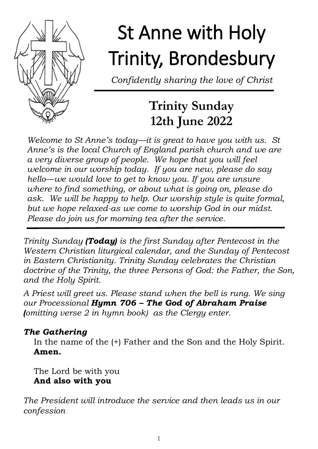

# St Anne with Holy Trinity, Brondesbury

*Confidently sharing the love of Christ*

### **Trinity Sunday 12th June 2022**

*Welcome to St Anne's today—it is great to have you with us. St Anne's is the local Church of England parish church and we are a very diverse group of people. We hope that you will feel welcome in our worship today. If you are new, please do say hello—we would love to get to know you. If you are unsure where to find something, or about what is going on, please do ask. We will be happy to help. Our worship style is quite formal, but we hope relaxed-as we come to worship God in our midst. Please do join us for morning tea after the service.*

*Trinity Sunday (Today) is the first Sunday after Pentecost in the Western Christian liturgical calendar, and the Sunday of Pentecost in Eastern Christianity. Trinity Sunday celebrates the Christian doctrine of the Trinity, the three Persons of God: the Father, the Son, and the Holy Spirit.* 

*A Priest will greet us. Please stand when the bell is rung. We sing our Processional Hymn 706 – The God of Abraham Praise (omitting verse 2 in hymn book) as the Clergy enter.*

#### *The Gathering*

In the name of the (+) Father and the Son and the Holy Spirit. **Amen.**

The Lord be with you **And also with you**

*The President will introduce the service and then leads us in our confession*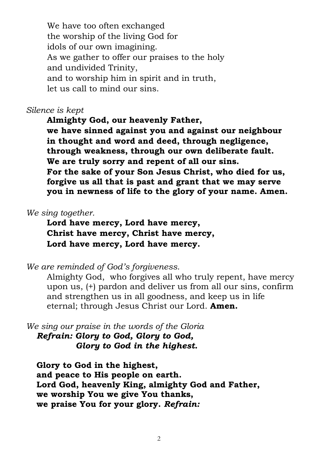We have too often exchanged the worship of the living God for idols of our own imagining. As we gather to offer our praises to the holy and undivided Trinity, and to worship him in spirit and in truth, let us call to mind our sins.

#### *Silence is kept*

**Almighty God, our heavenly Father, we have sinned against you and against our neighbour in thought and word and deed, through negligence, through weakness, through our own deliberate fault. We are truly sorry and repent of all our sins. For the sake of your Son Jesus Christ, who died for us, forgive us all that is past and grant that we may serve you in newness of life to the glory of your name. Amen.** 

#### *We sing together.*

**Lord have mercy, Lord have mercy, Christ have mercy, Christ have mercy, Lord have mercy, Lord have mercy.**

*We are reminded of God's forgiveness.*

Almighty God, who forgives all who truly repent, have mercy upon us, (+) pardon and deliver us from all our sins, confirm and strengthen us in all goodness, and keep us in life eternal; through Jesus Christ our Lord. **Amen.**

*We sing our praise in the words of the Gloria Refrain: Glory to God, Glory to God, Glory to God in the highest.*

**Glory to God in the highest, and peace to His people on earth. Lord God, heavenly King, almighty God and Father, we worship You we give You thanks, we praise You for your glory.** *Refrain:*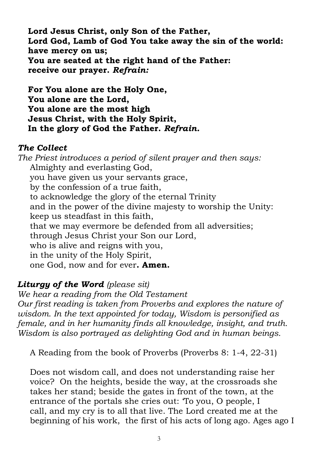**Lord Jesus Christ, only Son of the Father, Lord God, Lamb of God You take away the sin of the world: have mercy on us; You are seated at the right hand of the Father: receive our prayer.** *Refrain:*

**For You alone are the Holy One, You alone are the Lord, You alone are the most high Jesus Christ, with the Holy Spirit, In the glory of God the Father.** *Refrain.*

#### *The Collect*

*The Priest introduces a period of silent prayer and then says:*  Almighty and everlasting God, you have given us your servants grace, by the confession of a true faith, to acknowledge the glory of the eternal Trinity and in the power of the divine majesty to worship the Unity: keep us steadfast in this faith, that we may evermore be defended from all adversities; through Jesus Christ your Son our Lord, who is alive and reigns with you, in the unity of the Holy Spirit, one God, now and for ever**. Amen.**

#### *Liturgy of the Word (please sit)*

*We hear a reading from the Old Testament Our first reading is taken from Proverbs and explores the nature of wisdom. In the text appointed for today, Wisdom is personified as female, and in her humanity finds all knowledge, insight, and truth. Wisdom is also portrayed as delighting God and in human beings.*

A Reading from the book of Proverbs (Proverbs 8: 1-4, 22-31)

Does not wisdom call, and does not understanding raise her voice? On the heights, beside the way, at the crossroads she takes her stand; beside the gates in front of the town, at the entrance of the portals she cries out: 'To you, O people, I call, and my cry is to all that live. The Lord created me at the beginning of his work, the first of his acts of long ago. Ages ago I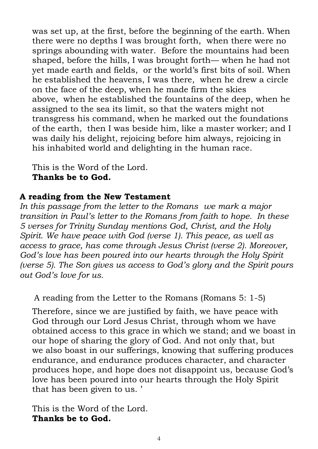was set up, at the first, before the beginning of the earth. When there were no depths I was brought forth, when there were no springs abounding with water. Before the mountains had been shaped, before the hills, I was brought forth— when he had not yet made earth and fields, or the world's first bits of soil. When he established the heavens, I was there, when he drew a circle on the face of the deep, when he made firm the skies above, when he established the fountains of the deep, when he assigned to the sea its limit, so that the waters might not transgress his command, when he marked out the foundations of the earth, then I was beside him, like a master worker; and I was daily his delight, rejoicing before him always, rejoicing in his inhabited world and delighting in the human race.

This is the Word of the Lord. **Thanks be to God.** 

#### **A reading from the New Testament**

*In this passage from the letter to the Romans we mark a major transition in Paul's letter to the Romans from faith to hope. In these 5 verses for Trinity Sunday mentions God, Christ, and the Holy Spirit. We have peace with God (verse 1). This peace, as well as access to grace, has come through Jesus Christ (verse 2). Moreover, God's love has been poured into our hearts through the Holy Spirit (verse 5). The Son gives us access to God's glory and the Spirit pours out God's love for us.* 

A reading from the Letter to the Romans (Romans 5: 1-5)

Therefore, since we are justified by faith, we have peace with God through our Lord Jesus Christ, through whom we have obtained access to this grace in which we stand; and we boast in our hope of sharing the glory of God. And not only that, but we also boast in our sufferings, knowing that suffering produces endurance, and endurance produces character, and character produces hope, and hope does not disappoint us, because God's love has been poured into our hearts through the Holy Spirit that has been given to us. '

This is the Word of the Lord. **Thanks be to God.**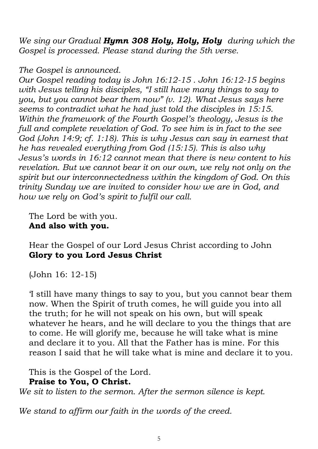*We sing our Gradual Hymn 308 Holy, Holy, Holy during which the Gospel is processed. Please stand during the 5th verse.* 

#### *The Gospel is announced.*

*Our Gospel reading today is John 16:12-15 . John 16:12-15 begins with Jesus telling his disciples, "I still have many things to say to you, but you cannot bear them now" (v. 12). What Jesus says here seems to contradict what he had just told the disciples in 15:15. Within the framework of the Fourth Gospel's theology, Jesus is the full and complete revelation of God. To see him is in fact to the see God (John 14:9; cf. 1:18). This is why Jesus can say in earnest that he has revealed everything from God (15:15). This is also why Jesus's words in 16:12 cannot mean that there is new content to his revelation. But we cannot bear it on our own, we rely not only on the spirit but our interconnectedness within the kingdom of God. On this trinity Sunday we are invited to consider how we are in God, and how we rely on God's spirit to fulfil our call.* 

The Lord be with you. **And also with you.**

Hear the Gospel of our Lord Jesus Christ according to John **Glory to you Lord Jesus Christ**

(John 16: 12-15)

'I still have many things to say to you, but you cannot bear them now. When the Spirit of truth comes, he will guide you into all the truth; for he will not speak on his own, but will speak whatever he hears, and he will declare to you the things that are to come. He will glorify me, because he will take what is mine and declare it to you. All that the Father has is mine. For this reason I said that he will take what is mine and declare it to you.

This is the Gospel of the Lord.

**Praise to You, O Christ.**

*We sit to listen to the sermon. After the sermon silence is kept.*

*We stand to affirm our faith in the words of the creed.*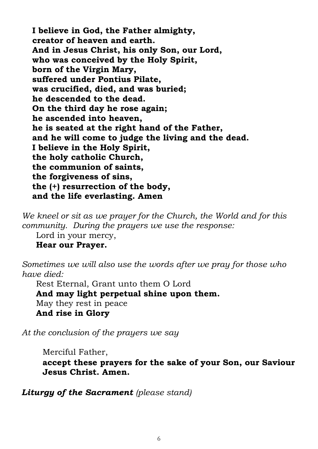**I believe in God, the Father almighty, creator of heaven and earth. And in Jesus Christ, his only Son, our Lord, who was conceived by the Holy Spirit, born of the Virgin Mary, suffered under Pontius Pilate, was crucified, died, and was buried; he descended to the dead. On the third day he rose again; he ascended into heaven, he is seated at the right hand of the Father, and he will come to judge the living and the dead. I believe in the Holy Spirit, the holy catholic Church, the communion of saints, the forgiveness of sins, the (+) resurrection of the body, and the life everlasting. Amen** 

*We kneel or sit as we prayer for the Church, the World and for this community. During the prayers we use the response:*

Lord in your mercy,

**Hear our Prayer.**

*Sometimes we will also use the words after we pray for those who have died:*

Rest Eternal, Grant unto them O Lord **And may light perpetual shine upon them.** May they rest in peace **And rise in Glory**

*At the conclusion of the prayers we say*

Merciful Father,

**accept these prayers for the sake of your Son, our Saviour Jesus Christ. Amen.**

*Liturgy of the Sacrament (please stand)*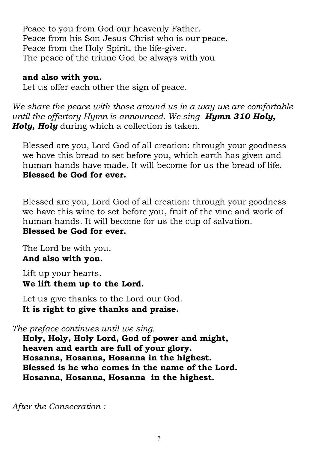Peace to you from God our heavenly Father. Peace from his Son Jesus Christ who is our peace. Peace from the Holy Spirit, the life-giver. The peace of the triune God be always with you

#### **and also with you.**

Let us offer each other the sign of peace.

*We share the peace with those around us in a way we are comfortable until the offertory Hymn is announced. We sing Hymn 310 Holy, Holy, Holy* during which a collection is taken.

Blessed are you, Lord God of all creation: through your goodness we have this bread to set before you, which earth has given and human hands have made. It will become for us the bread of life. **Blessed be God for ever.**

Blessed are you, Lord God of all creation: through your goodness we have this wine to set before you, fruit of the vine and work of human hands. It will become for us the cup of salvation. **Blessed be God for ever.**

The Lord be with you, **And also with you.**

Lift up your hearts. **We lift them up to the Lord.**

Let us give thanks to the Lord our God. **It is right to give thanks and praise.**

*The preface continues until we sing.*

**Holy, Holy, Holy Lord, God of power and might, heaven and earth are full of your glory. Hosanna, Hosanna, Hosanna in the highest. Blessed is he who comes in the name of the Lord. Hosanna, Hosanna, Hosanna in the highest.**

*After the Consecration :*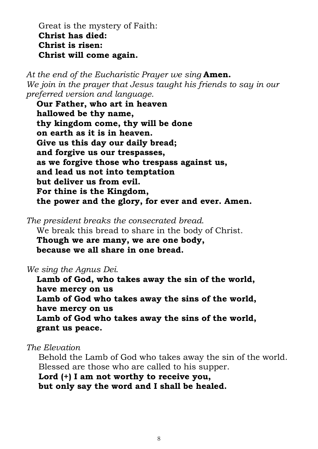Great is the mystery of Faith: **Christ has died: Christ is risen: Christ will come again.** 

*At the end of the Eucharistic Prayer we sing* **Amen.** *We join in the prayer that Jesus taught his friends to say in our preferred version and language.* 

**Our Father, who art in heaven hallowed be thy name, thy kingdom come, thy will be done on earth as it is in heaven. Give us this day our daily bread; and forgive us our trespasses, as we forgive those who trespass against us, and lead us not into temptation but deliver us from evil. For thine is the Kingdom, the power and the glory, for ever and ever. Amen.**

*The president breaks the consecrated bread*. We break this bread to share in the body of Christ. **Though we are many, we are one body, because we all share in one bread.** 

*We sing the Agnus Dei.*

**Lamb of God, who takes away the sin of the world, have mercy on us Lamb of God who takes away the sins of the world, have mercy on us Lamb of God who takes away the sins of the world, grant us peace.**

*The Elevation* 

Behold the Lamb of God who takes away the sin of the world. Blessed are those who are called to his supper. **Lord (+) I am not worthy to receive you, but only say the word and I shall be healed.**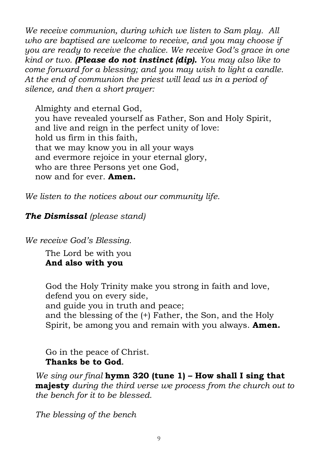*We receive communion, during which we listen to Sam play. All who are baptised are welcome to receive, and you may choose if you are ready to receive the chalice. We receive God's grace in one kind or two. (Please do not instinct (dip). You may also like to come forward for a blessing; and you may wish to light a candle. At the end of communion the priest will lead us in a period of silence, and then a short prayer:*

Almighty and eternal God, you have revealed yourself as Father, Son and Holy Spirit, and live and reign in the perfect unity of love: hold us firm in this faith, that we may know you in all your ways and evermore rejoice in your eternal glory, who are three Persons yet one God, now and for ever. **Amen.** 

*We listen to the notices about our community life.*

#### *The Dismissal (please stand)*

*We receive God's Blessing.*

The Lord be with you **And also with you**

God the Holy Trinity make you strong in faith and love, defend you on every side, and guide you in truth and peace; and the blessing of the (+) Father, the Son, and the Holy Spirit, be among you and remain with you always. **Amen.**

Go in the peace of Christ. **Thanks be to God.** 

*We sing our final* **hymn 320 (tune 1) – How shall I sing that majesty** *during the third verse we process from the church out to the bench for it to be blessed.*

*The blessing of the bench*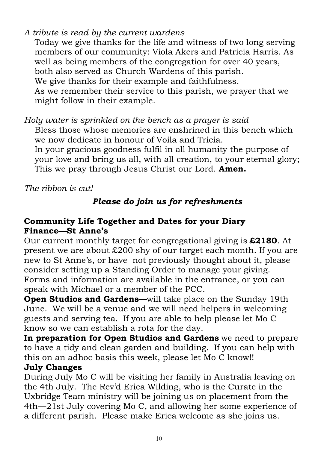#### *A tribute is read by the current wardens*

Today we give thanks for the life and witness of two long serving members of our community: Viola Akers and Patricia Harris. As well as being members of the congregation for over 40 years, both also served as Church Wardens of this parish. We give thanks for their example and faithfulness. As we remember their service to this parish, we prayer that we might follow in their example.

*Holy water is sprinkled on the bench as a prayer is said* Bless those whose memories are enshrined in this bench which we now dedicate in honour of Voila and Tricia. In your gracious goodness fulfil in all humanity the purpose of your love and bring us all, with all creation, to your eternal glory; This we pray through Jesus Christ our Lord. **Amen.** 

*The ribbon is cut!*

#### *Please do join us for refreshments*

#### **Community Life Together and Dates for your Diary Finance—St Anne's**

Our current monthly target for congregational giving is **£2180**. At present we are about £200 shy of our target each month. If you are new to St Anne's, or have not previously thought about it, please consider setting up a Standing Order to manage your giving. Forms and information are available in the entrance, or you can speak with Michael or a member of the PCC.

**Open Studios and Gardens—**will take place on the Sunday 19th June. We will be a venue and we will need helpers in welcoming guests and serving tea. If you are able to help please let Mo C know so we can establish a rota for the day.

**In preparation for Open Studios and Gardens** we need to prepare to have a tidy and clean garden and building. If you can help with this on an adhoc basis this week, please let Mo C know!! **July Changes**

During July Mo C will be visiting her family in Australia leaving on the 4th July. The Rev'd Erica Wilding, who is the Curate in the Uxbridge Team ministry will be joining us on placement from the 4th—21st July covering Mo C, and allowing her some experience of a different parish. Please make Erica welcome as she joins us.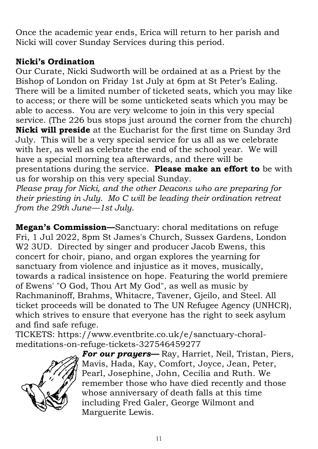Once the academic year ends, Erica will return to her parish and Nicki will cover Sunday Services during this period.

#### **Nicki's Ordination**

Our Curate, Nicki Sudworth will be ordained at as a Priest by the Bishop of London on Friday 1st July at 6pm at St Peter's Ealing. There will be a limited number of ticketed seats, which you may like to access; or there will be some unticketed seats which you may be able to access. You are very welcome to join in this very special service. (The 226 bus stops just around the corner from the church) **Nicki will preside** at the Eucharist for the first time on Sunday 3rd July. This will be a very special service for us all as we celebrate with her, as well as celebrate the end of the school year. We will have a special morning tea afterwards, and there will be presentations during the service. **Please make an effort to** be with us for worship on this very special Sunday.

*Please pray for Nicki, and the other Deacons who are preparing for their priesting in July. Mo C will be leading their ordination retreat from the 29th June—1st July.* 

**Megan's Commission—**Sanctuary: choral meditations on refuge Fri, 1 Jul 2022, 8pm St James's Church, Sussex Gardens, London W<sub>2</sub> 3UD. Directed by singer and producer Jacob Ewens, this concert for choir, piano, and organ explores the yearning for sanctuary from violence and injustice as it moves, musically, towards a radical insistence on hope. Featuring the world premiere of Ewens' "O God, Thou Art My God", as well as music by Rachmaninoff, Brahms, Whitacre, Tavener, Gjeilo, and Steel. All ticket proceeds will be donated to The UN Refugee Agency (UNHCR), which strives to ensure that everyone has the right to seek asylum and find safe refuge.

TICKETS: https://www.eventbrite.co.uk/e/sanctuary-choralmeditations-on-refuge-tickets-327546459277



*For our prayers—* Ray, Harriet, Neil, Tristan, Piers, Mavis, Hada, Kay, Comfort, Joyce, Jean, Peter, Pearl, Josephine, John, Cecilia and Ruth. We remember those who have died recently and those whose anniversary of death falls at this time including Fred Galer, George Wilmont and Marguerite Lewis.